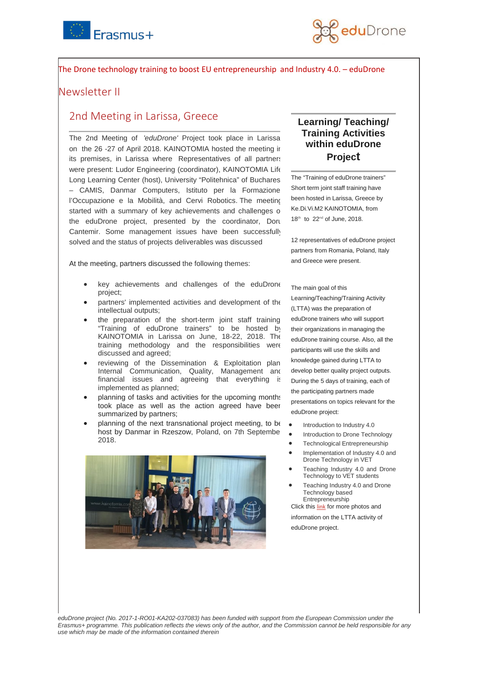



## The Drone technology training to boost EU entrepreneurship and Industry 4.0. – eduDrone

## Newsletter II

# 2nd Meeting in Larissa, Greece

The 2nd Meeting of *'eduDrone'* Project took place in Larissa on the 26 -27 of April 2018. KAINOTOMIA hosted the meeting in its premises, in Larissa where Representatives of all partners were present: Ludor Engineering (coordinator), KAINOTOMIA Life Long Learning Center (host), University "Politehnica" of Buchares – CAMIS, Danmar Computers, Istituto per la Formazione l'Occupazione e la Mobilità, and Cervi Robotics. The meeting started with a summary of key achievements and challenges o the eduDrone project, presented by the coordinator, Doru Cantemir. Some management issues have been successfully solved and the status of projects deliverables was discussed

At the meeting, partners discussed the following themes:

- key achievements and challenges of the eduDrone project;
- partners' implemented activities and development of the intellectual outputs;
- the preparation of the short-term joint staff training "Training of eduDrone trainers" to be hosted by KAINOTOMIA in Larissa on June, 18-22, 2018. The training methodology and the responsibilities were discussed and agreed;
- reviewing of the Dissemination & Exploitation plan Internal Communication, Quality, Management and financial issues and agreeing that everything is implemented as planned;
- planning of tasks and activities for the upcoming months took place as well as the action agreed have been summarized by partners;
- planning of the next transnational project meeting, to be host by Danmar in Rzeszow, Poland, on 7th Septembe 2018.



## **Learning/ Teaching/ Training Activities within eduDrone Project**

The "Training of eduDrone trainers" Short term joint staff training have been hosted in Larissa, Greece by Ke.Di.Vi.M2 KAINOTOMIA, from 18th to 22nd of June, 2018.

12 representatives of eduDrone project partners from Romania, Poland, Italy and Greece were present.

#### The main goal of this

Learning/Teaching/Training Activity (LTTA) was the preparation of eduDrone trainers who will support their organizations in managing the eduDrone training course. Also, all the participants will use the skills and knowledge gained during LTTA to develop better quality project outputs. During the 5 days of training, each of the participating partners made presentations on topics relevant for the eduDrone project:

- Introduction to Industry 4.0
- Introduction to Drone Technology
- Technological Entrepreneurship
- Implementation of Industry 4.0 and Drone Technology in VET
- Teaching Industry 4.0 and Drone Technology to VET students
- Teaching Industry 4.0 and Drone Technology based **Entrepreneurship**

Click this [link](https://www.edudrone-project.eu/learning-teaching-training-activities-within-edudrone-project/) for more photos and information on the LTTA activity of eduDrone project.

*eduDrone project (No. 2017-1-RO01-KA202-037083) has been funded with support from the European Commission under the Erasmus+ programme. This publication reflects the views only of the author, and the Commission cannot be held responsible for any use which may be made of the information contained therein*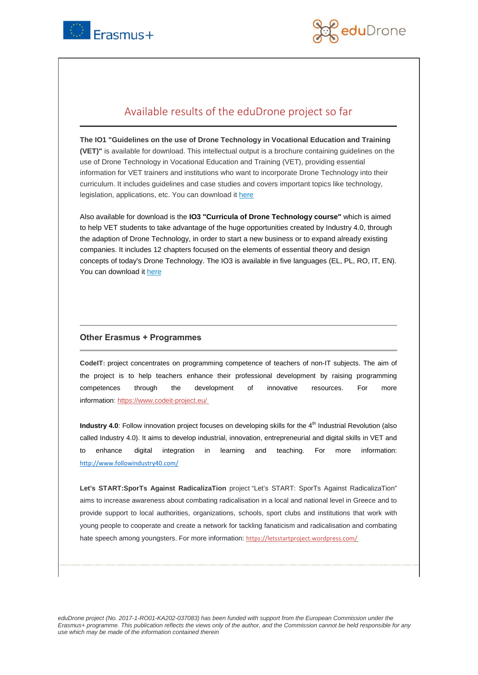



# Available results of the eduDrone project so far

**The IO1 "Guidelines on the use of Drone Technology in Vocational Education and Training (VET)"** is available for download. This intellectual output is a brochure containing guidelines on the use of Drone Technology in Vocational Education and Training (VET), providing essential information for VET trainers and institutions who want to incorporate Drone Technology into their curriculum. It includes guidelines and case studies and covers important topics like technology, legislation, applications, etc. You can download i[t here](https://www.edudrone-project.eu/wp-content/uploads/2018/07/Guidelines-on-the-use-of-Drones-in-VET_EN.pdf)

Also available for download is the **IO3 "Curricula of Drone Technology course"** which is aimed to help VET students to take advantage of the huge opportunities created by Industry 4.0, through the adaption of Drone Technology, in order to start a new business or to expand already existing companies. It includes 12 chapters focused on the elements of essential theory and design concepts of today's Drone Technology. The IO3 is available in five languages (EL, PL, RO, IT, EN). You can download it [here](https://www.edudrone-project.eu/wp-content/uploads/2018/03/Drone-Technology-Curricula_EN.pdf)

### **Οther Erasmus + Programmes**

**CodeIT:** project concentrates on programming competence of teachers of non-IT subjects. The aim of the project is to help teachers enhance their professional development by raising programming competences through the development of innovative resources. For more information: <https://www.codeit-project.eu/>

**Industry 4.0**: Follow innovation project focuses on developing skills for the 4<sup>th</sup> Industrial Revolution (also called Industry 4.0). It aims to develop industrial, innovation, entrepreneurial and digital skills in VET and to enhance digital integration in learning and teaching. For more information: <http://www.followindustry40.com/>

**Let's START:SporTs Against RadicalizaTion** project "Let's START: SporTs Against RadicalizaTion" aims to increase awareness about combating radicalisation in a local and national level in Greece and to provide support to local authorities, organizations, schools, sport clubs and institutions that work with young people to cooperate and create a network for tackling fanaticism and radicalisation and combating hate speech among youngsters. For more information: <https://letsstartproject.wordpress.com/>

*eduDrone project (No. 2017-1-RO01-KA202-037083) has been funded with support from the European Commission under the Erasmus+ programme. This publication reflects the views only of the author, and the Commission cannot be held responsible for any use which may be made of the information contained therein*